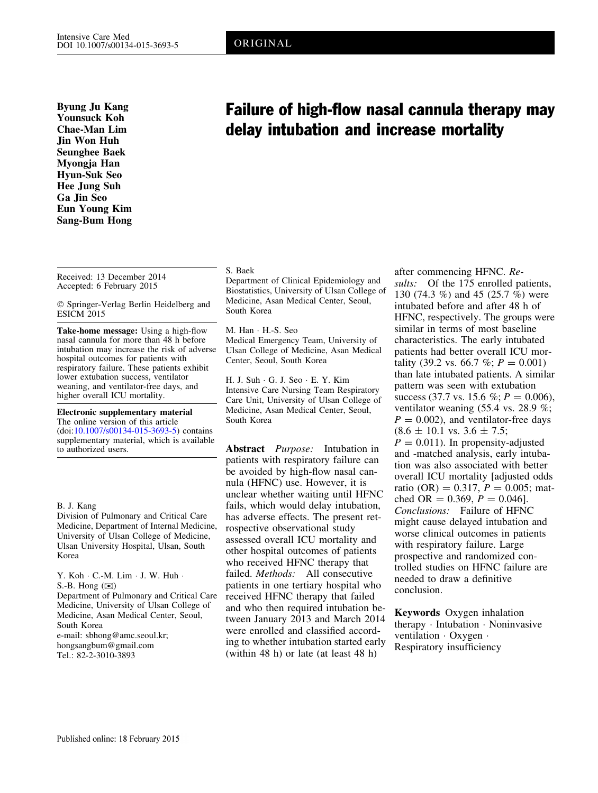Byung Ju Kang Younsuck Koh Chae-Man Lim Jin Won Huh Seunghee Baek Myongja Han Hyun-Suk Seo Hee Jung Suh Ga Jin Seo Eun Young Kim Sang-Bum Hong

#### Received: 13 December 2014 Accepted: 6 February 2015

 $©$  Springer-Verlag Berlin Heidelberg and ESICM 2015

Take-home message: Using a high-flow nasal cannula for more than 48 h before intubation may increase the risk of adverse hospital outcomes for patients with respiratory failure. These patients exhibit lower extubation success, ventilator weaning, and ventilator-free days, and higher overall ICU mortality.

Electronic supplementary material The online version of this article (doi:[10.1007/s00134-015-3693-5](http://dx.doi.org/10.1007/s00134-015-3693-5)) contains supplementary material, which is available to authorized users.

#### B. J. Kang

Division of Pulmonary and Critical Care Medicine, Department of Internal Medicine, University of Ulsan College of Medicine, Ulsan University Hospital, Ulsan, South Korea

Y. Koh · C.-M. Lim · J. W. Huh · S.-B. Hong  $(\boxtimes)$ Department of Pulmonary and Critical Care Medicine, University of Ulsan College of Medicine, Asan Medical Center, Seoul, South Korea e-mail: sbhong@amc.seoul.kr; hongsangbum@gmail.com Tel.: 82-2-3010-3893

# Failure of high-flow nasal cannula therapy may delay intubation and increase mortality

# S. Baek

Department of Clinical Epidemiology and Biostatistics, University of Ulsan College of Medicine, Asan Medical Center, Seoul, South Korea

M. Han · H.-S. Seo Medical Emergency Team, University of Ulsan College of Medicine, Asan Medical Center, Seoul, South Korea

H. J. Suh · G. J. Seo · E. Y. Kim Intensive Care Nursing Team Respiratory Care Unit, University of Ulsan College of Medicine, Asan Medical Center, Seoul, South Korea

Abstract Purpose: Intubation in patients with respiratory failure can be avoided by high-flow nasal cannula (HFNC) use. However, it is unclear whether waiting until HFNC fails, which would delay intubation, has adverse effects. The present retrospective observational study assessed overall ICU mortality and other hospital outcomes of patients who received HFNC therapy that failed. Methods: All consecutive patients in one tertiary hospital who received HFNC therapy that failed and who then required intubation between January 2013 and March 2014 were enrolled and classified according to whether intubation started early (within 48 h) or late (at least 48 h)

after commencing HFNC. Results: Of the 175 enrolled patients, 130 (74.3 %) and 45 (25.7 %) were intubated before and after 48 h of HFNC, respectively. The groups were similar in terms of most baseline characteristics. The early intubated patients had better overall ICU mortality (39.2 vs. 66.7 %;  $P = 0.001$ ) than late intubated patients. A similar pattern was seen with extubation success (37.7 vs. 15.6 %;  $P = 0.006$ ), ventilator weaning (55.4 vs. 28.9 %;  $P = 0.002$ , and ventilator-free days  $(8.6 \pm 10.1 \text{ vs. } 3.6 \pm 7.5)$ ;  $P = 0.011$ . In propensity-adjusted and -matched analysis, early intubation was also associated with better overall ICU mortality [adjusted odds ratio (OR) =  $0.317$ ,  $P = 0.005$ ; matched OR =  $0.369$ ,  $P = 0.046$ . Conclusions: Failure of HFNC might cause delayed intubation and worse clinical outcomes in patients with respiratory failure. Large prospective and randomized controlled studies on HFNC failure are needed to draw a definitive conclusion.

Keywords Oxygen inhalation therapy · Intubation · Noninvasive ventilation  $\cdot$  Oxygen  $\cdot$ Respiratory insufficiency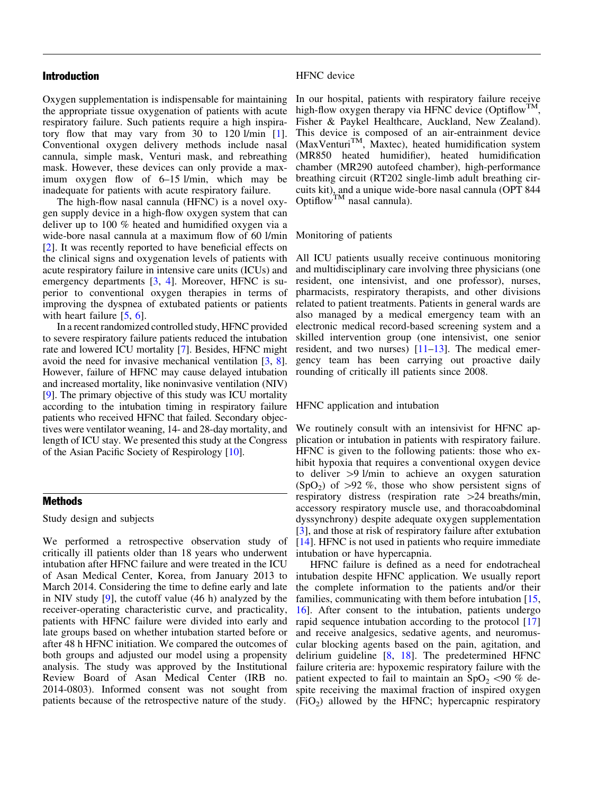# Introduction

Oxygen supplementation is indispensable for maintaining the appropriate tissue oxygenation of patients with acute respiratory failure. Such patients require a high inspiratory flow that may vary from 30 to 120 l/min [[1](#page-8-0)]. Conventional oxygen delivery methods include nasal cannula, simple mask, Venturi mask, and rebreathing mask. However, these devices can only provide a maximum oxygen flow of 6–15 l/min, which may be inadequate for patients with acute respiratory failure.

The high-flow nasal cannula (HFNC) is a novel oxygen supply device in a high-flow oxygen system that can deliver up to 100 % heated and humidified oxygen via a wide-bore nasal cannula at a maximum flow of 60 l/min [\[2](#page-8-0)]. It was recently reported to have beneficial effects on the clinical signs and oxygenation levels of patients with acute respiratory failure in intensive care units (ICUs) and emergency departments [[3,](#page-8-0) [4](#page-8-0)]. Moreover, HFNC is superior to conventional oxygen therapies in terms of improving the dyspnea of extubated patients or patients with heart failure [[5,](#page-8-0) [6](#page-8-0)].

In a recent randomized controlled study, HFNC provided to severe respiratory failure patients reduced the intubation rate and lowered ICU mortality [\[7](#page-8-0)]. Besides, HFNC might avoid the need for invasive mechanical ventilation [[3,](#page-8-0) [8](#page-8-0)]. However, failure of HFNC may cause delayed intubation and increased mortality, like noninvasive ventilation (NIV) [\[9](#page-8-0)]. The primary objective of this study was ICU mortality according to the intubation timing in respiratory failure patients who received HFNC that failed. Secondary objectives were ventilator weaning, 14- and 28-day mortality, and length of ICU stay. We presented this study at the Congress of the Asian Pacific Society of Respirology [[10\]](#page-8-0).

#### Methods

Study design and subjects

We performed a retrospective observation study of critically ill patients older than 18 years who underwent intubation after HFNC failure and were treated in the ICU of Asan Medical Center, Korea, from January 2013 to March 2014. Considering the time to define early and late in NIV study [\[9](#page-8-0)], the cutoff value (46 h) analyzed by the receiver-operating characteristic curve, and practicality, patients with HFNC failure were divided into early and late groups based on whether intubation started before or after 48 h HFNC initiation. We compared the outcomes of both groups and adjusted our model using a propensity analysis. The study was approved by the Institutional Review Board of Asan Medical Center (IRB no. 2014-0803). Informed consent was not sought from patients because of the retrospective nature of the study.

### HFNC device

In our hospital, patients with respiratory failure receive high-flow oxygen therapy via HFNC device (Optiflow<sup>TM</sup>, Fisher & Paykel Healthcare, Auckland, New Zealand). This device is composed of an air-entrainment device (MaxVenturi<sup>TM</sup>, Maxtec), heated humidification system (MR850 heated humidifier), heated humidification chamber (MR290 autofeed chamber), high-performance breathing circuit (RT202 single-limb adult breathing circuits kit), and a unique wide-bore nasal cannula (OPT 844 Optiflow<sup>TM</sup> nasal cannula).

# Monitoring of patients

All ICU patients usually receive continuous monitoring and multidisciplinary care involving three physicians (one resident, one intensivist, and one professor), nurses, pharmacists, respiratory therapists, and other divisions related to patient treatments. Patients in general wards are also managed by a medical emergency team with an electronic medical record-based screening system and a skilled intervention group (one intensivist, one senior resident, and two nurses) [\[11–13](#page-8-0)]. The medical emergency team has been carrying out proactive daily rounding of critically ill patients since 2008.

# HFNC application and intubation

We routinely consult with an intensivist for HFNC application or intubation in patients with respiratory failure. HFNC is given to the following patients: those who exhibit hypoxia that requires a conventional oxygen device to deliver  $>9$  l/min to achieve an oxygen saturation  $(SpO<sub>2</sub>)$  of  $>92$  %, those who show persistent signs of respiratory distress (respiration rate  $>24$  breaths/min, accessory respiratory muscle use, and thoracoabdominal dyssynchrony) despite adequate oxygen supplementation [\[3\]](#page-8-0), and those at risk of respiratory failure after extubation [\[14\]](#page-8-0). HFNC is not used in patients who require immediate intubation or have hypercapnia.

HFNC failure is defined as a need for endotracheal intubation despite HFNC application. We usually report the complete information to the patients and/or their families, communicating with them before intubation [[15,](#page-8-0) [16](#page-8-0)]. After consent to the intubation, patients undergo rapid sequence intubation according to the protocol [[17](#page-8-0)] and receive analgesics, sedative agents, and neuromuscular blocking agents based on the pain, agitation, and delirium guideline [\[8](#page-8-0), [18](#page-8-0)]. The predetermined HFNC failure criteria are: hypoxemic respiratory failure with the patient expected to fail to maintain an  $SpO<sub>2</sub> < 90 \%$  despite receiving the maximal fraction of inspired oxygen  $(FiO<sub>2</sub>)$  allowed by the HFNC; hypercapnic respiratory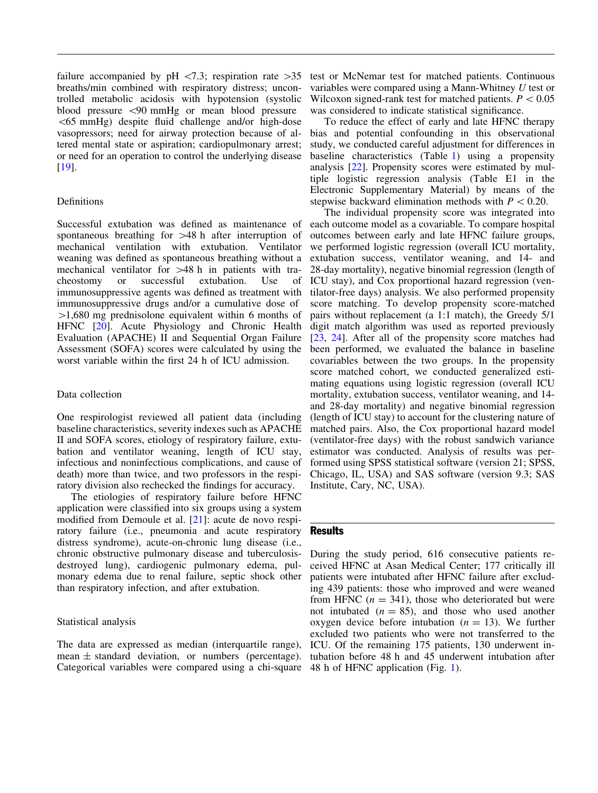failure accompanied by pH  $\langle 7.3;$  respiration rate  $>35$ breaths/min combined with respiratory distress; uncontrolled metabolic acidosis with hypotension (systolic blood pressure \90 mmHg or mean blood pressure  $\leq 65$  mmHg) despite fluid challenge and/or high-dose vasopressors; need for airway protection because of altered mental state or aspiration; cardiopulmonary arrest; or need for an operation to control the underlying disease [\[19\]](#page-8-0).

# Definitions

Successful extubation was defined as maintenance of spontaneous breathing for  $>48$  h after interruption of mechanical ventilation with extubation. Ventilator weaning was defined as spontaneous breathing without a mechanical ventilator for  $>48$  h in patients with tracheostomy or successful extubation. Use of immunosuppressive agents was defined as treatment with immunosuppressive drugs and/or a cumulative dose of  $>1,680$  mg prednisolone equivalent within 6 months of HFNC [[20](#page-8-0)]. Acute Physiology and Chronic Health Evaluation (APACHE) II and Sequential Organ Failure Assessment (SOFA) scores were calculated by using the worst variable within the first 24 h of ICU admission.

### Data collection

One respirologist reviewed all patient data (including baseline characteristics, severity indexes such as APACHE II and SOFA scores, etiology of respiratory failure, extubation and ventilator weaning, length of ICU stay, infectious and noninfectious complications, and cause of death) more than twice, and two professors in the respiratory division also rechecked the findings for accuracy.

The etiologies of respiratory failure before HFNC application were classified into six groups using a system modified from Demoule et al. [\[21\]](#page-8-0): acute de novo respiratory failure (i.e., pneumonia and acute respiratory distress syndrome), acute-on-chronic lung disease (i.e., chronic obstructive pulmonary disease and tuberculosisdestroyed lung), cardiogenic pulmonary edema, pulmonary edema due to renal failure, septic shock other than respiratory infection, and after extubation.

# Statistical analysis

The data are expressed as median (interquartile range), mean  $\pm$  standard deviation, or numbers (percentage). Categorical variables were compared using a chi-square 48 h of HFNC application (Fig. [1\)](#page-4-0).

test or McNemar test for matched patients. Continuous variables were compared using a Mann-Whitney U test or Wilcoxon signed-rank test for matched patients.  $P < 0.05$ was considered to indicate statistical significance.

To reduce the effect of early and late HFNC therapy bias and potential confounding in this observational study, we conducted careful adjustment for differences in baseline characteristics (Table [1\)](#page-3-0) using a propensity analysis [\[22\]](#page-8-0). Propensity scores were estimated by multiple logistic regression analysis (Table E1 in the Electronic Supplementary Material) by means of the stepwise backward elimination methods with  $P < 0.20$ .

The individual propensity score was integrated into each outcome model as a covariable. To compare hospital outcomes between early and late HFNC failure groups, we performed logistic regression (overall ICU mortality, extubation success, ventilator weaning, and 14- and 28-day mortality), negative binomial regression (length of ICU stay), and Cox proportional hazard regression (ventilator-free days) analysis. We also performed propensity score matching. To develop propensity score-matched pairs without replacement (a 1:1 match), the Greedy 5/1 digit match algorithm was used as reported previously [\[23,](#page-9-0) [24](#page-9-0)]. After all of the propensity score matches had been performed, we evaluated the balance in baseline covariables between the two groups. In the propensity score matched cohort, we conducted generalized estimating equations using logistic regression (overall ICU mortality, extubation success, ventilator weaning, and 14 and 28-day mortality) and negative binomial regression (length of ICU stay) to account for the clustering nature of matched pairs. Also, the Cox proportional hazard model (ventilator-free days) with the robust sandwich variance estimator was conducted. Analysis of results was performed using SPSS statistical software (version 21; SPSS, Chicago, IL, USA) and SAS software (version 9.3; SAS Institute, Cary, NC, USA).

# Results

During the study period, 616 consecutive patients received HFNC at Asan Medical Center; 177 critically ill patients were intubated after HFNC failure after excluding 439 patients: those who improved and were weaned from HFNC  $(n = 341)$ , those who deteriorated but were not intubated  $(n = 85)$ , and those who used another oxygen device before intubation  $(n = 13)$ . We further excluded two patients who were not transferred to the ICU. Of the remaining 175 patients, 130 underwent intubation before 48 h and 45 underwent intubation after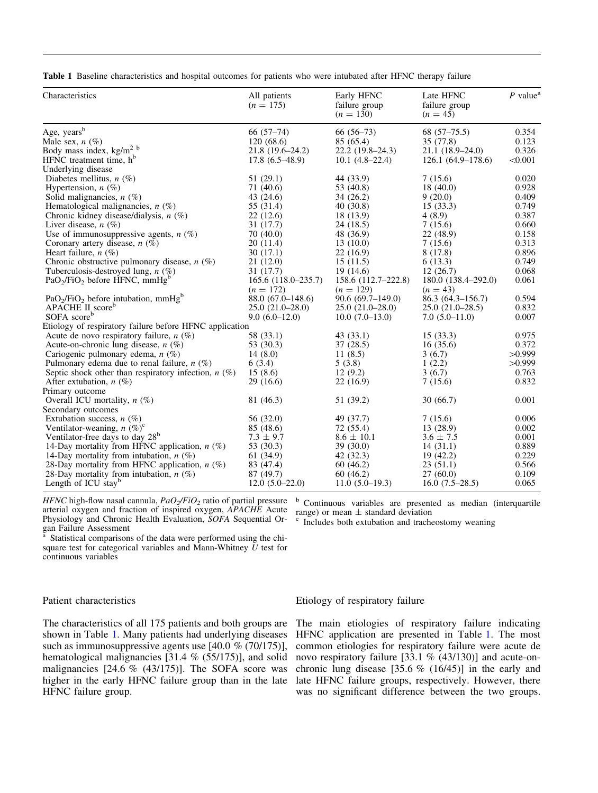<span id="page-3-0"></span>Table 1 Baseline characteristics and hospital outcomes for patients who were intubated after HFNC therapy failure

| Characteristics                                                   | All patients<br>$(n = 175)$ | Early HFNC<br>failure group<br>$(n = 130)$ | Late HFNC<br>failure group<br>$(n = 45)$ | $P$ value <sup>a</sup> |
|-------------------------------------------------------------------|-----------------------------|--------------------------------------------|------------------------------------------|------------------------|
| Age, years <sup>b</sup>                                           | $66(57-74)$                 | $66(56-73)$                                | $68(57-75.5)$                            | 0.354                  |
| Male sex, $n(\%)$                                                 | 120(68.6)                   | 85 (65.4)                                  | 35 (77.8)                                | 0.123                  |
| Body mass index, kg/m <sup>2</sup> b                              | $21.8(19.6-24.2)$           | $22.2(19.8-24.3)$                          | 21.1 (18.9-24.0)                         | 0.326                  |
| HFNC treatment time, h <sup>b</sup>                               | $17.8(6.5-48.9)$            | $10.1(4.8-22.4)$                           | $126.1(64.9-178.6)$                      | < 0.001                |
| Underlying disease                                                |                             |                                            |                                          |                        |
| Diabetes mellitus, $n(\%)$                                        | 51(29.1)                    | 44 (33.9)                                  | 7(15.6)                                  | 0.020                  |
| Hypertension, $n$ (%)                                             | 71 (40.6)                   | 53 (40.8)                                  | 18(40.0)                                 | 0.928                  |
| Solid malignancies, $n$ (%)                                       | 43 $(24.6)$                 | 34(26.2)                                   | 9(20.0)                                  | 0.409                  |
| Hematological malignancies, $n$ (%)                               | 55 (31.4)                   | 40(30.8)                                   | 15(33.3)                                 | 0.749                  |
| Chronic kidney disease/dialysis, $n$ (%)                          | 22(12.6)                    | 18 (13.9)                                  | 4(8.9)                                   | 0.387                  |
| Liver disease, $n$ (%)                                            | 31(17.7)                    | 24(18.5)                                   | 7(15.6)                                  | 0.660                  |
| Use of immunosuppressive agents, $n$ (%)                          | 70(40.0)                    | 48 (36.9)                                  | 22 (48.9)                                | 0.158                  |
| Coronary artery disease, $n$ (%)                                  | 20(11.4)                    | 13(10.0)                                   | 7(15.6)                                  | 0.313                  |
| Heart failure, $n(\%)$                                            | 30(17.1)                    | 22(16.9)                                   | 8 (17.8)                                 | 0.896                  |
| Chronic obstructive pulmonary disease, $n$ (%)                    | 21(12.0)                    | 15(11.5)                                   | 6(13.3)                                  | 0.749                  |
| Tuberculosis-destroyed lung, $n$ (%)                              | 31 (17.7)                   | 19(14.6)                                   | 12(26.7)                                 | 0.068                  |
| PaO <sub>2</sub> /FiO <sub>2</sub> before HFNC, mmHg <sup>b</sup> | $165.6(118.0-235.7)$        | 158.6 (112.7–222.8)                        | 180.0 (138.4–292.0)                      | 0.061                  |
|                                                                   | $(n = 172)$                 | $(n = 129)$                                | $(n = 43)$                               |                        |
| $PaO2/FiO2$ before intubation, mmHg <sup>b</sup>                  | $88.0(67.0-148.6)$          | $90.6(69.7-149.0)$                         | $86.3(64.3-156.7)$                       | 0.594                  |
| APACHE II score <sup>b</sup>                                      | $25.0(21.0-28.0)$           | $25.0(21.0-28.0)$                          | $25.0(21.0-28.5)$                        | 0.832                  |
| SOFA scoreb                                                       | $9.0(6.0-12.0)$             | $10.0(7.0-13.0)$                           | $7.0(5.0-11.0)$                          | 0.007                  |
| Etiology of respiratory failure before HFNC application           |                             |                                            |                                          |                        |
| Acute de novo respiratory failure, $n$ (%)                        | 58 (33.1)                   | 43(33.1)                                   | 15(33.3)                                 | 0.975                  |
| Acute-on-chronic lung disease, $n$ (%)                            | 53 (30.3)                   | 37(28.5)                                   | 16(35.6)                                 | 0.372                  |
| Cariogenic pulmonary edema, $n$ (%)                               | 14(8.0)                     | 11(8.5)                                    | 3(6.7)                                   | >0.999                 |
| Pulmonary edema due to renal failure, $n$ (%)                     | 6(3.4)                      | 5(3.8)                                     | 1(2.2)                                   | >0.999                 |
| Septic shock other than respiratory infection, $n$ (%)            | 15(8.6)                     | 12(9.2)                                    | 3(6.7)                                   | 0.763                  |
| After extubation, $n$ (%)                                         | 29(16.6)                    | 22(16.9)                                   | 7(15.6)                                  | 0.832                  |
| Primary outcome                                                   |                             |                                            |                                          |                        |
| Overall ICU mortality, $n$ (%)                                    | 81 (46.3)                   | 51 (39.2)                                  | 30(66.7)                                 | 0.001                  |
| Secondary outcomes                                                |                             |                                            |                                          |                        |
| Extubation success, $n$ (%)                                       | 56 (32.0)                   | 49 (37.7)                                  | 7(15.6)                                  | 0.006                  |
| Ventilator-weaning, $n (\%)^c$                                    | 85 (48.6)                   | 72 (55.4)                                  | 13(28.9)                                 | 0.002                  |
| Ventilator-free days to day 28 <sup>b</sup>                       | $7.3 \pm 9.7$               | $8.6 \pm 10.1$                             | $3.6 \pm 7.5$                            | 0.001                  |
| 14-Day mortality from HFNC application, $n$ (%)                   | 53 (30.3)                   | 39(30.0)                                   | 14(31.1)                                 | 0.889                  |
| 14-Day mortality from intubation, $n$ (%)                         | 61(34.9)                    | 42(32.3)                                   | 19(42.2)                                 | 0.229                  |
| 28-Day mortality from HFNC application, $n$ (%)                   | 83 (47.4)                   | 60(46.2)                                   | 23(51.1)                                 | 0.566                  |
| 28-Day mortality from intubation, $n$ (%)                         | 87 (49.7)                   | 60(46.2)                                   | 27(60.0)                                 | 0.109                  |
| Length of ICU stay <sup>b</sup>                                   | $12.0(5.0-22.0)$            | $11.0(5.0-19.3)$                           | $16.0(7.5-28.5)$                         | 0.065                  |

HFNC high-flow nasal cannula,  $PaO<sub>2</sub>/FiO<sub>2</sub>$  ratio of partial pressure arterial oxygen and fraction of inspired oxygen, APACHE Acute Physiology and Chronic Health Evaluation, SOFA Sequential Organ Failure Assessment

<sup>b</sup> Continuous variables are presented as median (interquartile range) or mean  $\pm$  standard deviation

Includes both extubation and tracheostomy weaning

Statistical comparisons of the data were performed using the chisquare test for categorical variables and Mann-Whitney  $\tilde{U}$  test for continuous variables

# Patient characteristics

The characteristics of all 175 patients and both groups are shown in Table 1. Many patients had underlying diseases such as immunosuppressive agents use [40.0 % (70/175)], hematological malignancies [31.4 % (55/175)], and solid malignancies [24.6 % (43/175)]. The SOFA score was higher in the early HFNC failure group than in the late HFNC failure group.

# Etiology of respiratory failure

The main etiologies of respiratory failure indicating HFNC application are presented in Table 1. The most common etiologies for respiratory failure were acute de novo respiratory failure [33.1 % (43/130)] and acute-onchronic lung disease  $[35.6 \% (16/45)]$  in the early and late HFNC failure groups, respectively. However, there was no significant difference between the two groups.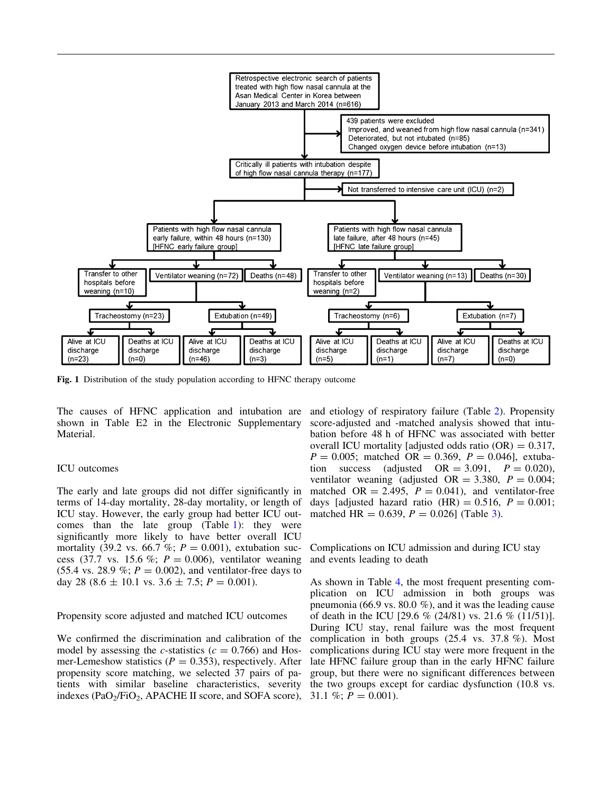<span id="page-4-0"></span>

Fig. 1 Distribution of the study population according to HFNC therapy outcome

The causes of HFNC application and intubation are shown in Table E2 in the Electronic Supplementary Material.

#### ICU outcomes

The early and late groups did not differ significantly in terms of 14-day mortality, 28-day mortality, or length of ICU stay. However, the early group had better ICU outcomes than the late group (Table [1\)](#page-3-0): they were significantly more likely to have better overall ICU mortality (39.2 vs. 66.7 %;  $P = 0.001$ ), extubation success (37.7 vs. 15.6 %;  $P = 0.006$ ), ventilator weaning (55.4 vs. 28.9 %;  $P = 0.002$ ), and ventilator-free days to day 28 (8.6  $\pm$  10.1 vs. 3.6  $\pm$  7.5;  $P = 0.001$ ).

Propensity score adjusted and matched ICU outcomes

We confirmed the discrimination and calibration of the model by assessing the c-statistics ( $c = 0.766$ ) and Hosmer-Lemeshow statistics ( $P = 0.353$ ), respectively. After propensity score matching, we selected 37 pairs of patients with similar baseline characteristics, severity indexes (PaO<sub>2</sub>/FiO<sub>2</sub>, APACHE II score, and SOFA score),

and etiology of respiratory failure (Table [2\)](#page-5-0). Propensity score-adjusted and -matched analysis showed that intubation before 48 h of HFNC was associated with better overall ICU mortality [adjusted odds ratio  $(OR) = 0.317$ ,  $P = 0.005$ ; matched OR = 0.369,  $P = 0.046$ , extubation success (adjusted  $OR = 3.091$ ,  $P = 0.020$ ), ventilator weaning (adjusted  $OR = 3.380$ ,  $P = 0.004$ ; matched OR = 2.495,  $P = 0.041$ , and ventilator-free days [adjusted hazard ratio (HR) =  $0.516$ ,  $P = 0.001$ ; matched HR =  $0.639$  $0.639$  $0.639$ ,  $P = 0.026$ ] (Table 3).

Complications on ICU admission and during ICU stay and events leading to death

As shown in Table [4](#page-7-0), the most frequent presenting complication on ICU admission in both groups was pneumonia (66.9 vs. 80.0 %), and it was the leading cause of death in the ICU [29.6 % (24/81) vs. 21.6 % (11/51)]. During ICU stay, renal failure was the most frequent complication in both groups (25.4 vs. 37.8 %). Most complications during ICU stay were more frequent in the late HFNC failure group than in the early HFNC failure group, but there were no significant differences between the two groups except for cardiac dysfunction (10.8 vs. 31.1 %;  $P = 0.001$ ).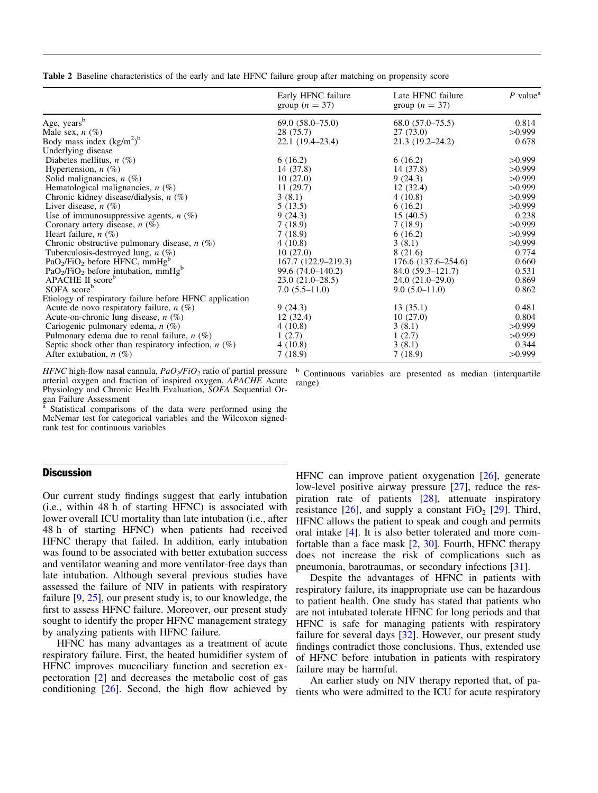<span id="page-5-0"></span>Table 2 Baseline characteristics of the early and late HFNC failure group after matching on propensity score

|                                                         | Early HFNC failure<br>group $(n = 37)$ | Late HFNC failure<br>group $(n = 37)$ | $P$ value <sup>a</sup> |
|---------------------------------------------------------|----------------------------------------|---------------------------------------|------------------------|
| Age, years <sup>b</sup>                                 | $69.0(58.0-75.0)$                      | $68.0(57.0-75.5)$                     | 0.814                  |
| Male sex, $n(\%)$                                       | 28 (75.7)                              | 27(73.0)                              | >0.999                 |
| Body mass index $(kg/m2)b$                              | $22.1(19.4-23.4)$                      | $21.3(19.2 - 24.2)$                   | 0.678                  |
| Underlying disease                                      |                                        |                                       |                        |
| Diabetes mellitus, $n$ (%)                              | 6(16.2)                                | 6(16.2)                               | >0.999                 |
| Hypertension, $n$ (%)                                   | 14 (37.8)                              | 14 (37.8)                             | >0.999                 |
| Solid malignancies, $n$ (%)                             | 10(27.0)                               | 9(24.3)                               | >0.999                 |
| Hematological malignancies, $n$ (%)                     | 11(29.7)                               | 12(32.4)                              | >0.999                 |
| Chronic kidney disease/dialysis, $n$ (%)                | 3(8.1)                                 | 4(10.8)                               | >0.999                 |
| Liver disease, $n(\%)$                                  | 5(13.5)                                | 6(16.2)                               | >0.999                 |
| Use of immunosuppressive agents, $n$ (%)                | 9(24.3)                                | 15(40.5)                              | 0.238                  |
| Coronary artery disease, $n$ (%)                        | 7(18.9)                                | 7(18.9)                               | >0.999                 |
| Heart failure, $n$ (%)                                  | 7(18.9)                                | 6(16.2)                               | >0.999                 |
| Chronic obstructive pulmonary disease, $n$ (%)          | 4(10.8)                                | 3(8.1)                                | >0.999                 |
| Tuberculosis-destroyed lung, $n$ (%)                    | 10(27.0)                               | 8 (21.6)                              | 0.774                  |
| $PaO2/FiO2$ before HFNC, mmHg <sup>b</sup>              | 167.7 (122.9–219.3)                    | $176.6(137.6-254.6)$                  | 0.660                  |
| $PaO2/FiO2$ before intubation, mmHg <sup>b</sup>        | 99.6 (74.0–140.2)                      | $84.0(59.3-121.7)$                    | 0.531                  |
| APACHE II score <sup>p</sup>                            | $23.0(21.0-28.5)$                      | $24.0(21.0-29.0)$                     | 0.869                  |
| SOFA score <sup>b</sup>                                 | $7.0(5.5-11.0)$                        | $9.0(5.0-11.0)$                       | 0.862                  |
| Etiology of respiratory failure before HFNC application |                                        |                                       |                        |
| Acute de novo respiratory failure, $n$ (%)              | 9(24.3)                                | 13(35.1)                              | 0.481                  |
| Acute-on-chronic lung disease, $n$ (%)                  | 12(32.4)                               | 10(27.0)                              | 0.804                  |
| Cariogenic pulmonary edema, $n$ (%)                     | 4(10.8)                                | 3(8.1)                                | >0.999                 |
| Pulmonary edema due to renal failure, $n$ (%)           | 1(2.7)                                 | 1(2.7)                                | >0.999                 |
| Septic shock other than respiratory infection, $n$ (%)  | 4(10.8)                                | 3(8.1)                                | 0.344                  |
| After extubation, $n$ (%)                               | 7(18.9)                                | 7(18.9)                               | >0.999                 |

HFNC high-flow nasal cannula,  $PaO<sub>2</sub>/FiO<sub>2</sub>$  ratio of partial pressure arterial oxygen and fraction of inspired oxygen, APACHE Acute Physiology and Chronic Health Evaluation, SOFA Sequential Organ Failure Assessment

Statistical comparisons of the data were performed using the McNemar test for categorical variables and the Wilcoxon signedrank test for continuous variables

# **Discussion**

Our current study findings suggest that early intubation (i.e., within 48 h of starting HFNC) is associated with lower overall ICU mortality than late intubation (i.e., after 48 h of starting HFNC) when patients had received HFNC therapy that failed. In addition, early intubation was found to be associated with better extubation success and ventilator weaning and more ventilator-free days than late intubation. Although several previous studies have assessed the failure of NIV in patients with respiratory failure [\[9,](#page-8-0) [25](#page-9-0)], our present study is, to our knowledge, the first to assess HFNC failure. Moreover, our present study sought to identify the proper HFNC management strategy by analyzing patients with HFNC failure.

HFNC has many advantages as a treatment of acute respiratory failure. First, the heated humidifier system of HFNC improves mucociliary function and secretion expectoration [[2\]](#page-8-0) and decreases the metabolic cost of gas conditioning [[26](#page-9-0)]. Second, the high flow achieved by

<sup>b</sup> Continuous variables are presented as median (interquartile range)

HFNC can improve patient oxygenation [\[26\]](#page-9-0), generate low-level positive airway pressure [\[27\]](#page-9-0), reduce the respiration rate of patients [[28](#page-9-0)], attenuate inspiratory resistance  $[26]$  $[26]$  $[26]$ , and supply a constant FiO<sub>2</sub>  $[29]$  $[29]$  $[29]$ . Third, HFNC allows the patient to speak and cough and permits oral intake [[4](#page-8-0)]. It is also better tolerated and more comfortable than a face mask  $[2, 30]$  $[2, 30]$  $[2, 30]$  $[2, 30]$  $[2, 30]$ . Fourth, HFNC therapy does not increase the risk of complications such as pneumonia, barotraumas, or secondary infections [[31](#page-9-0)].

Despite the advantages of HFNC in patients with respiratory failure, its inappropriate use can be hazardous to patient health. One study has stated that patients who are not intubated tolerate HFNC for long periods and that HFNC is safe for managing patients with respiratory failure for several days [[32\]](#page-9-0). However, our present study findings contradict those conclusions. Thus, extended use of HFNC before intubation in patients with respiratory failure may be harmful.

An earlier study on NIV therapy reported that, of patients who were admitted to the ICU for acute respiratory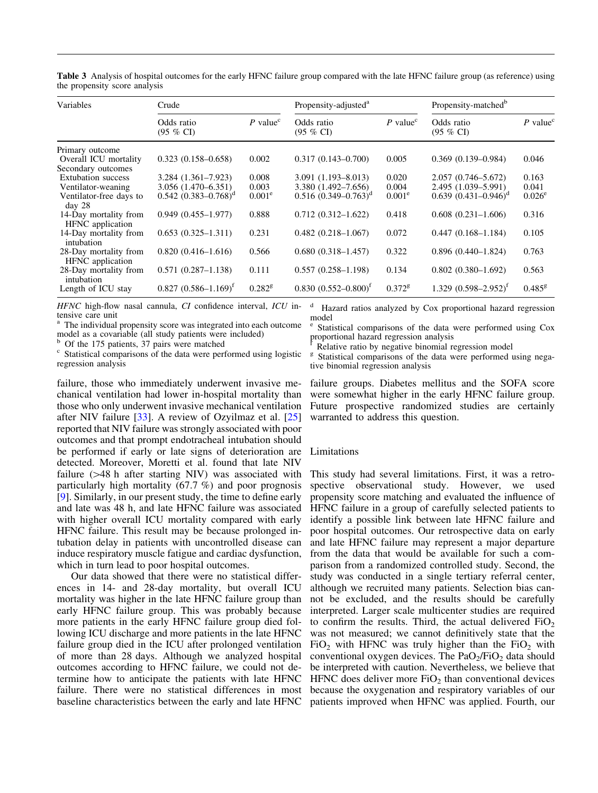| Variables                                    | Crude                             |                        | Propensity-adjusted <sup>a</sup>       |                      | Propensity-matched <sup>b</sup>    |                        |
|----------------------------------------------|-----------------------------------|------------------------|----------------------------------------|----------------------|------------------------------------|------------------------|
|                                              | Odds ratio<br>$(95\% \text{ CI})$ | $P$ value <sup>c</sup> | Odds ratio<br>$(95 \% CI)$             | P value <sup>c</sup> | Odds ratio<br>$(95 \% \text{ CI})$ | $P$ value <sup>c</sup> |
| Primary outcome                              |                                   |                        |                                        |                      |                                    |                        |
| Overall ICU mortality                        | $0.323(0.158 - 0.658)$            | 0.002                  | $0.317(0.143 - 0.700)$                 | 0.005                | $0.369(0.139 - 0.984)$             | 0.046                  |
| Secondary outcomes                           |                                   |                        |                                        |                      |                                    |                        |
| <b>Extubation</b> success                    | $3.284(1.361 - 7.923)$            | 0.008                  | $3.091(1.193 - 8.013)$                 | 0.020                | $2.057(0.746 - 5.672)$             | 0.163                  |
| Ventilator-weaning                           | 3.056 (1.470-6.351)               | 0.003                  | 3.380 (1.492-7.656)                    | 0.004                | 2.495 (1.039-5.991)                | 0.041                  |
| Ventilator-free days to<br>day <sub>28</sub> | $0.542(0.383 - 0.768)^d$          | $0.001^e$              | $0.516$ $(0.349 - 0.763)^d$            | $0.001^e$            | $0.639$ $(0.431 - 0.946)^d$        | $0.026^{\circ}$        |
| 14-Day mortality from<br>HFNC application    | $0.949(0.455 - 1.977)$            | 0.888                  | $0.712(0.312 - 1.622)$                 | 0.418                | $0.608(0.231-1.606)$               | 0.316                  |
| 14-Day mortality from<br>intubation          | $0.653(0.325 - 1.311)$            | 0.231                  | $0.482(0.218 - 1.067)$                 | 0.072                | $0.447(0.168-1.184)$               | 0.105                  |
| 28-Day mortality from<br>HFNC application    | $0.820(0.416 - 1.616)$            | 0.566                  | $0.680(0.318 - 1.457)$                 | 0.322                | $0.896(0.440 - 1.824)$             | 0.763                  |
| 28-Day mortality from<br>intubation          | $0.571(0.287 - 1.138)$            | 0.111                  | $0.557(0.258 - 1.198)$                 | 0.134                | $0.802(0.380 - 1.692)$             | 0.563                  |
| Length of ICU stay                           | $0.827$ $(0.586 - 1.169)^t$       | $0.282$ <sup>g</sup>   | $0.830$ $(0.552 - 0.800)$ <sup>f</sup> | $0.372$ <sup>g</sup> | $1.329$ $(0.598 - 2.952)^{f}$      | $0.485^{8}$            |

<span id="page-6-0"></span>Table 3 Analysis of hospital outcomes for the early HFNC failure group compared with the late HFNC failure group (as reference) using the propensity score analysis

HFNC high-flow nasal cannula, CI confidence interval, ICU intensive care unit

<sup>a</sup> The individual propensity score was integrated into each outcome model as a covariable (all study patients were included)<sup>b</sup> Of the 175 patients, 37 pairs were matched

 $\epsilon$  Statistical comparisons of the data were performed using logistic regression analysis

failure, those who immediately underwent invasive mechanical ventilation had lower in-hospital mortality than those who only underwent invasive mechanical ventilation after NIV failure [[33](#page-9-0)]. A review of Ozyilmaz et al. [[25](#page-9-0)] reported that NIV failure was strongly associated with poor outcomes and that prompt endotracheal intubation should be performed if early or late signs of deterioration are detected. Moreover, Moretti et al. found that late NIV failure  $(>=48$  h after starting NIV) was associated with particularly high mortality (67.7 %) and poor prognosis [\[9](#page-8-0)]. Similarly, in our present study, the time to define early and late was 48 h, and late HFNC failure was associated with higher overall ICU mortality compared with early HFNC failure. This result may be because prolonged intubation delay in patients with uncontrolled disease can induce respiratory muscle fatigue and cardiac dysfunction, which in turn lead to poor hospital outcomes.

Our data showed that there were no statistical differences in 14- and 28-day mortality, but overall ICU mortality was higher in the late HFNC failure group than early HFNC failure group. This was probably because more patients in the early HFNC failure group died following ICU discharge and more patients in the late HFNC failure group died in the ICU after prolonged ventilation of more than 28 days. Although we analyzed hospital outcomes according to HFNC failure, we could not determine how to anticipate the patients with late HFNC failure. There were no statistical differences in most because the oxygenation and respiratory variables of our

<sup>d</sup> Hazard ratios analyzed by Cox proportional hazard regression model

Statistical comparisons of the data were performed using Cox proportional hazard regression analysis

<sup>f</sup> Relative ratio by negative binomial regression model  $\frac{g}{g}$  Statistical comparisons of the data were performed using negative binomial regression analysis

failure groups. Diabetes mellitus and the SOFA score were somewhat higher in the early HFNC failure group. Future prospective randomized studies are certainly warranted to address this question.

#### Limitations

baseline characteristics between the early and late HFNC patients improved when HFNC was applied. Fourth, our This study had several limitations. First, it was a retrospective observational study. However, we used propensity score matching and evaluated the influence of HFNC failure in a group of carefully selected patients to identify a possible link between late HFNC failure and poor hospital outcomes. Our retrospective data on early and late HFNC failure may represent a major departure from the data that would be available for such a comparison from a randomized controlled study. Second, the study was conducted in a single tertiary referral center, although we recruited many patients. Selection bias cannot be excluded, and the results should be carefully interpreted. Larger scale multicenter studies are required to confirm the results. Third, the actual delivered  $FiO<sub>2</sub>$ was not measured; we cannot definitively state that the  $FiO<sub>2</sub>$  with HFNC was truly higher than the  $FiO<sub>2</sub>$  with conventional oxygen devices. The  $PaO<sub>2</sub>/FiO<sub>2</sub>$  data should be interpreted with caution. Nevertheless, we believe that HFNC does deliver more  $FiO<sub>2</sub>$  than conventional devices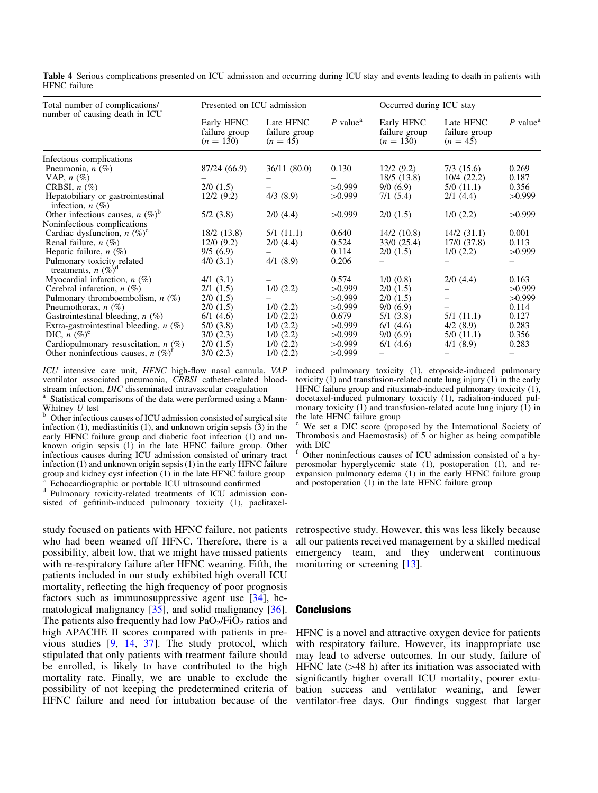<span id="page-7-0"></span>Table 4 Serious complications presented on ICU admission and occurring during ICU stay and events leading to death in patients with HFNC failure

| Total number of complications/                                 | Presented on ICU admission                 |                                          |                        | Occurred during ICU stay                   |                                          |                        |
|----------------------------------------------------------------|--------------------------------------------|------------------------------------------|------------------------|--------------------------------------------|------------------------------------------|------------------------|
| number of causing death in ICU                                 | Early HFNC<br>failure group<br>$(n = 130)$ | Late HFNC<br>failure group<br>$(n = 45)$ | $P$ value <sup>a</sup> | Early HFNC<br>failure group<br>$(n = 130)$ | Late HFNC<br>failure group<br>$(n = 45)$ | $P$ value <sup>a</sup> |
| Infectious complications                                       |                                            |                                          |                        |                                            |                                          |                        |
| Pneumonia, $n$ (%)                                             | 87/24 (66.9)                               | 36/11(80.0)                              | 0.130                  | 12/2(9.2)                                  | $7/3$ (15.6)                             | 0.269                  |
| VAP, $n$ $(\%)$                                                |                                            |                                          |                        | 18/5 (13.8)                                | 10/4(22.2)                               | 0.187                  |
| CRBSI, $n$ (%)                                                 | $2/0$ (1.5)                                |                                          | >0.999                 | 9/0(6.9)                                   | 5/0(11.1)                                | 0.356                  |
| Hepatobiliary or gastrointestinal<br>infection, $n(\%)$        | 12/2(9.2)                                  | $4/3$ $(8.9)$                            | >0.999                 | 7/1(5.4)                                   | 2/1(4.4)                                 | >0.999                 |
| Other infectious causes, $n$ (%) <sup>b</sup>                  | $5/2$ (3.8)                                | $2/0$ (4.4)                              | >0.999                 | $2/0$ (1.5)                                | $1/0$ $(2.2)$                            | >0.999                 |
| Noninfectious complications                                    |                                            |                                          |                        |                                            |                                          |                        |
| Cardiac dysfunction, $n (\%)^c$                                | 18/2 (13.8)                                | 5/1(11.1)                                | 0.640                  | $14/2$ (10.8)                              | 14/2(31.1)                               | 0.001                  |
| Renal failure, $n$ (%)                                         | 12/0(9.2)                                  | $2/0$ (4.4)                              | 0.524                  | 33/0(25.4)                                 | 17/0 (37.8)                              | 0.113                  |
| Hepatic failure, $n$ (%)                                       | 9/5(6.9)                                   |                                          | 0.114                  | $2/0$ (1.5)                                | $1/0$ (2.2)                              | >0.999                 |
| Pulmonary toxicity related<br>treatments, $n$ (%) <sup>d</sup> | $4/0$ (3.1)                                | 4/1(8.9)                                 | 0.206                  |                                            |                                          |                        |
| Myocardial infarction, $n(\%)$                                 | 4/1(3.1)                                   |                                          | 0.574                  | 1/0(0.8)                                   | $2/0$ (4.4)                              | 0.163                  |
| Cerebral infarction, $n$ (%)                                   | 2/1(1.5)                                   | $1/0$ (2.2)                              | >0.999                 | $2/0$ (1.5)                                |                                          | >0.999                 |
| Pulmonary thromboembolism, $n$ (%)                             | $2/0$ (1.5)                                |                                          | >0.999                 | $2/0$ (1.5)                                |                                          | >0.999                 |
| Pneumothorax, $n$ (%)                                          | $2/0$ (1.5)                                | $1/0$ (2.2)                              | >0.999                 | 9/0(6.9)                                   |                                          | 0.114                  |
| Gastrointestinal bleeding, $n$ (%)                             | 6/1(4.6)                                   | $1/0$ $(2.2)$                            | 0.679                  | 5/1(3.8)                                   | 5/1(11.1)                                | 0.127                  |
| Extra-gastrointestinal bleeding, $n$ (%)                       | 5/0 (3.8)                                  | $1/0$ $(2.2)$                            | >0.999                 | 6/1(4.6)                                   | 4/2(8.9)                                 | 0.283                  |
| DIC, $n (\%)^e$                                                | $3/0$ $(2.3)$                              | $1/0$ $(2.2)$                            | >0.999                 | 9/0(6.9)                                   | 5/0(11.1)                                | 0.356                  |
| Cardiopulmonary resuscitation, $n$ (%)                         | $2/0$ (1.5)                                | $1/0$ $(2.2)$                            | >0.999                 | 6/1(4.6)                                   | 4/1(8.9)                                 | 0.283                  |
| Other noninfectious causes, $n$ (%) <sup>1</sup>               | $3/0$ $(2.3)$                              | $1/0$ $(2.2)$                            | >0.999                 |                                            |                                          |                        |

ICU intensive care unit, HFNC high-flow nasal cannula, VAP ventilator associated pneumonia, CRBSI catheter-related blood-<br>stream infection, DIC disseminated intravascular coagulation

 $\alpha$  Statistical comparisons of the data were performed using a Mann-Whitney U test

Other infectious causes of ICU admission consisted of surgical site infection (1), mediastinitis (1), and unknown origin sepsis (3) in the early HFNC failure group and diabetic foot infection (1) and unknown origin sepsis (1) in the late HFNC failure group. Other infectious causes during ICU admission consisted of urinary tract infection (1) and unknown origin sepsis (1) in the early HFNC failure group and kidney cyst infection  $(1)$  in the late HFNC failure group

<sup>c</sup> Echocardiographic or portable ICU ultrasound confirmed <sup>d</sup> Pulmonary toxicity-related treatments of ICU admission consisted of gefitinib-induced pulmonary toxicity (1), paclitaxel-

study focused on patients with HFNC failure, not patients who had been weaned off HFNC. Therefore, there is a possibility, albeit low, that we might have missed patients with re-respiratory failure after HFNC weaning. Fifth, the patients included in our study exhibited high overall ICU mortality, reflecting the high frequency of poor prognosis factors such as immunosuppressive agent use [[34](#page-9-0)], hematological malignancy [\[35\]](#page-9-0), and solid malignancy [[36](#page-9-0)]. The patients also frequently had low  $PaO<sub>2</sub>/FiO<sub>2</sub>$  ratios and high APACHE II scores compared with patients in previous studies [[9](#page-8-0), [14](#page-8-0), [37\]](#page-9-0). The study protocol, which stipulated that only patients with treatment failure should be enrolled, is likely to have contributed to the high mortality rate. Finally, we are unable to exclude the possibility of not keeping the predetermined criteria of HFNC failure and need for intubation because of the

induced pulmonary toxicity (1), etoposide-induced pulmonary toxicity (1) and transfusion-related acute lung injury (1) in the early HFNC failure group and rituximab-induced pulmonary toxicity (1), docetaxel-induced pulmonary toxicity (1), radiation-induced pulmonary toxicity  $(1)$  and transfusion-related acute lung injury  $(1)$  in the late HFNC failure group

We set a DIC score (proposed by the International Society of Thrombosis and Haemostasis) of 5 or higher as being compatible with DIC

Other noninfectious causes of ICU admission consisted of a hyperosmolar hyperglycemic state (1), postoperation (1), and reexpansion pulmonary edema (1) in the early HFNC failure group and postoperation (1) in the late HFNC failure group

retrospective study. However, this was less likely because all our patients received management by a skilled medical emergency team, and they underwent continuous monitoring or screening [\[13\]](#page-8-0).

#### Conclusions

HFNC is a novel and attractive oxygen device for patients with respiratory failure. However, its inappropriate use may lead to adverse outcomes. In our study, failure of HFNC late  $(>= 48$  h) after its initiation was associated with significantly higher overall ICU mortality, poorer extubation success and ventilator weaning, and fewer ventilator-free days. Our findings suggest that larger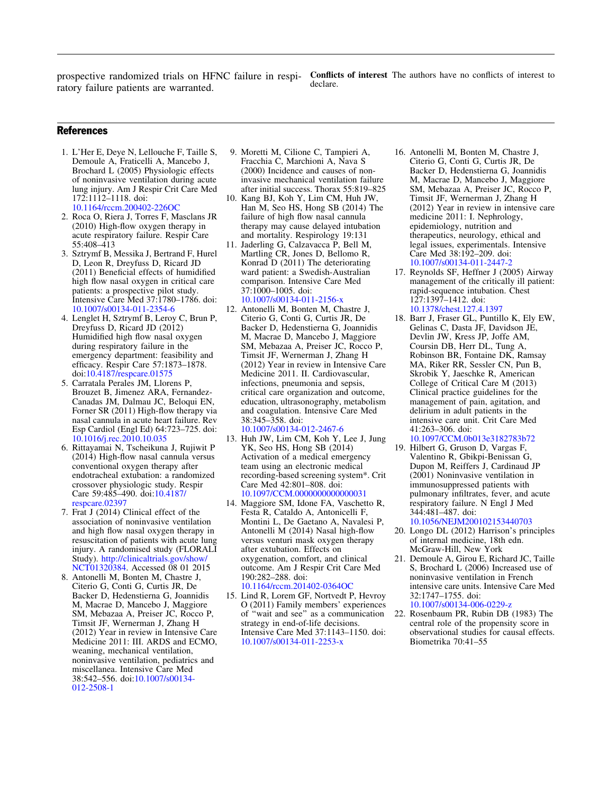<span id="page-8-0"></span>prospective randomized trials on HFNC failure in respiratory failure patients are warranted.

Conflicts of interest The authors have no conflicts of interest to declare.

# **References**

- 1. L'Her E, Deye N, Lellouche F, Taille S, Demoule A, Fraticelli A, Mancebo J, Brochard L (2005) Physiologic effects of noninvasive ventilation during acute lung injury. Am J Respir Crit Care Med 172:1112–1118. doi: [10.1164/rccm.200402-226OC](http://dx.doi.org/10.1164/rccm.200402-226OC)
- 2. Roca O, Riera J, Torres F, Masclans JR (2010) High-flow oxygen therapy in acute respiratory failure. Respir Care 55:408–413
- 3. Sztrymf B, Messika J, Bertrand F, Hurel D, Leon R, Dreyfuss D, Ricard JD (2011) Beneficial effects of humidified high flow nasal oxygen in critical care patients: a prospective pilot study. Intensive Care Med 37:1780–1786. doi: [10.1007/s00134-011-2354-6](http://dx.doi.org/10.1007/s00134-011-2354-6)
- 4. Lenglet H, Sztrymf B, Leroy C, Brun P, Dreyfuss D, Ricard JD (2012) Humidified high flow nasal oxygen during respiratory failure in the emergency department: feasibility and efficacy. Respir Care 57:1873–1878. doi:[10.4187/respcare.01575](http://dx.doi.org/10.4187/respcare.01575)
- 5. Carratala Perales JM, Llorens P, Brouzet B, Jimenez ARA, Fernandez-Canadas JM, Dalmau JC, Beloqui EN, Forner SR (2011) High-flow therapy via nasal cannula in acute heart failure. Rev Esp Cardiol (Engl Ed) 64:723–725. doi: [10.1016/j.rec.2010.10.035](http://dx.doi.org/10.1016/j.rec.2010.10.035)
- 6. Rittayamai N, Tscheikuna J, Rujiwit P (2014) High-flow nasal cannula versus conventional oxygen therapy after endotracheal extubation: a randomized crossover physiologic study. Respir Care 59:485–490. doi:[10.4187/](http://dx.doi.org/10.4187/respcare.02397) [respcare.02397](http://dx.doi.org/10.4187/respcare.02397)
- 7. Frat J (2014) Clinical effect of the association of noninvasive ventilation and high flow nasal oxygen therapy in resuscitation of patients with acute lung injury. A randomised study (FLORALI Study). [http://clinicaltrials.gov/show/](http://clinicaltrials.gov/show/NCT01320384) [NCT01320384.](http://clinicaltrials.gov/show/NCT01320384) Accessed 08 01 2015
- 8. Antonelli M, Bonten M, Chastre J, Citerio G, Conti G, Curtis JR, De Backer D, Hedenstierna G, Joannidis M, Macrae D, Mancebo J, Maggiore SM, Mebazaa A, Preiser JC, Rocco P, Timsit JF, Wernerman J, Zhang H (2012) Year in review in Intensive Care Medicine 2011: III. ARDS and ECMO, weaning, mechanical ventilation, noninvasive ventilation, pediatrics and miscellanea. Intensive Care Med 38:542–556. doi:[10.1007/s00134-](http://dx.doi.org/10.1007/s00134-012-2508-1) [012-2508-1](http://dx.doi.org/10.1007/s00134-012-2508-1)
- 9. Moretti M, Cilione C, Tampieri A, Fracchia C, Marchioni A, Nava S (2000) Incidence and causes of noninvasive mechanical ventilation failure after initial success. Thorax 55:819–825
- 10. Kang BJ, Koh Y, Lim CM, Huh JW, Han M, Seo HS, Hong SB (2014) The failure of high flow nasal cannula therapy may cause delayed intubation and mortality. Respirology 19:131
- 11. Jaderling G, Calzavacca P, Bell M, Martling CR, Jones D, Bellomo R, Konrad D (2011) The deteriorating ward patient: a Swedish-Australian comparison. Intensive Care Med 37:1000–1005. doi: [10.1007/s00134-011-2156-x](http://dx.doi.org/10.1007/s00134-011-2156-x)
- 12. Antonelli M, Bonten M, Chastre J, Citerio G, Conti G, Curtis JR, De Backer D, Hedenstierna G, Joannidis M, Macrae D, Mancebo J, Maggiore SM, Mebazaa A, Preiser JC, Rocco P, Timsit JF, Wernerman J, Zhang H (2012) Year in review in Intensive Care Medicine 2011. II. Cardiovascular, infections, pneumonia and sepsis, critical care organization and outcome, education, ultrasonography, metabolism and coagulation. Intensive Care Med 38:345–358. doi: [10.1007/s00134-012-2467-6](http://dx.doi.org/10.1007/s00134-012-2467-6)
- 13. Huh JW, Lim CM, Koh Y, Lee J, Jung YK, Seo HS, Hong SB (2014) Activation of a medical emergency team using an electronic medical recording-based screening system\*. Crit Care Med 42:801–808. doi: [10.1097/CCM.0000000000000031](http://dx.doi.org/10.1097/CCM.0000000000000031)
- 14. Maggiore SM, Idone FA, Vaschetto R, Festa R, Cataldo A, Antonicelli F, Montini L, De Gaetano A, Navalesi P, Antonelli M (2014) Nasal high-flow versus venturi mask oxygen therapy after extubation. Effects on oxygenation, comfort, and clinical outcome. Am J Respir Crit Care Med 190:282–288. doi: [10.1164/rccm.201402-0364OC](http://dx.doi.org/10.1164/rccm.201402-0364OC)
- 15. Lind R, Lorem GF, Nortvedt P, Hevroy O (2011) Family members' experiences of ''wait and see'' as a communication strategy in end-of-life decisions. Intensive Care Med 37:1143–1150. doi: [10.1007/s00134-011-2253-x](http://dx.doi.org/10.1007/s00134-011-2253-x)
- 16. Antonelli M, Bonten M, Chastre J, Citerio G, Conti G, Curtis JR, De Backer D, Hedenstierna G, Joannidis M, Macrae D, Mancebo J, Maggiore SM, Mebazaa A, Preiser JC, Rocco P, Timsit JF, Wernerman J, Zhang H (2012) Year in review in intensive care medicine 2011: I. Nephrology, epidemiology, nutrition and therapeutics, neurology, ethical and legal issues, experimentals. Intensive Care Med 38:192–209. doi: [10.1007/s00134-011-2447-2](http://dx.doi.org/10.1007/s00134-011-2447-2)
- 17. Reynolds SF, Heffner J (2005) Airway management of the critically ill patient: rapid-sequence intubation. Chest 127:1397–1412. doi: [10.1378/chest.127.4.1397](http://dx.doi.org/10.1378/chest.127.4.1397)
- 18. Barr J, Fraser GL, Puntillo K, Ely EW, Gelinas C, Dasta JF, Davidson JE, Devlin JW, Kress JP, Joffe AM, Coursin DB, Herr DL, Tung A, Robinson BR, Fontaine DK, Ramsay MA, Riker RR, Sessler CN, Pun B, Skrobik Y, Jaeschke R, American College of Critical Care M (2013) Clinical practice guidelines for the management of pain, agitation, and delirium in adult patients in the intensive care unit. Crit Care Med 41:263–306. doi:
- [10.1097/CCM.0b013e3182783b72](http://dx.doi.org/10.1097/CCM.0b013e3182783b72) 19. Hilbert G, Gruson D, Vargas F, Valentino R, Gbikpi-Benissan G, Dupon M, Reiffers J, Cardinaud JP (2001) Noninvasive ventilation in immunosuppressed patients with pulmonary infiltrates, fever, and acute respiratory failure. N Engl J Med 344:481–487. doi: [10.1056/NEJM200102153440703](http://dx.doi.org/10.1056/NEJM200102153440703)
- 20. Longo DL (2012) Harrison's principles of internal medicine, 18th edn. McGraw-Hill, New York
- 21. Demoule A, Girou E, Richard JC, Taille S, Brochard L (2006) Increased use of noninvasive ventilation in French intensive care units. Intensive Care Med 32:1747–1755. doi: [10.1007/s00134-006-0229-z](http://dx.doi.org/10.1007/s00134-006-0229-z)
- 22. Rosenbaum PR, Rubin DB (1983) The central role of the propensity score in observational studies for causal effects. Biometrika 70:41–55